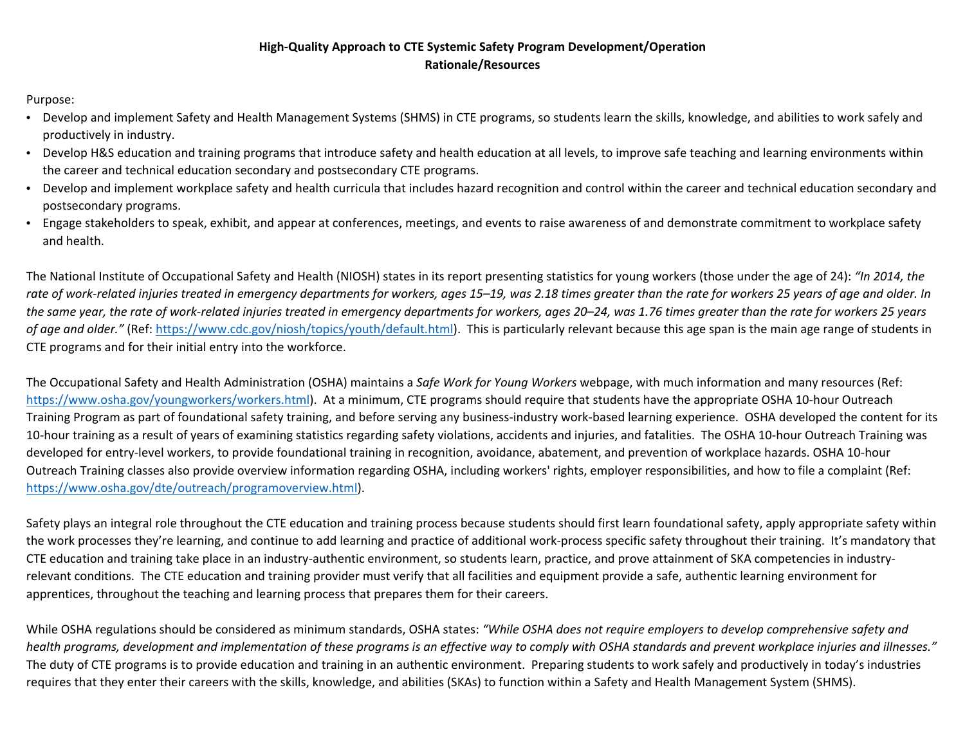## **High-Quality Approach to CTE Systemic Safety Program Development/Operation Rationale/Resources**

Purpose:

- Develop and implement Safety and Health Management Systems (SHMS) in CTE programs, so students learn the skills, knowledge, and abilities to work safely and productively in industry.
- Develop H&S education and training programs that introduce safety and health education at all levels, to improve safe teaching and learning environments within the career and technical education secondary and postsecondary CTE programs.
- Develop and implement workplace safety and health curricula that includes hazard recognition and control within the career and technical education secondary and postsecondary programs.
- Engage stakeholders to speak, exhibit, and appear at conferences, meetings, and events to raise awareness of and demonstrate commitment to workplace safety and health.

The National Institute of Occupational Safety and Health (NIOSH) states in its report presenting statistics for young workers (those under the age of 24): *"In 2014, the rate of work-related injuries treated in emergency departments for workers, ages 15–19, was 2.18 times greater than the rate for workers 25 years of age and older. In the same year, the rate of work-related injuries treated in emergency departments for workers, ages 20–24, was 1.76 times greater than the rate for workers 25 years of age and older."* (Ref: [https://www.cdc.gov/niosh/topics/youth/default.html\)](https://www.cdc.gov/niosh/topics/youth/default.html). This is particularly relevant because this age span is the main age range of students in CTE programs and for their initial entry into the workforce.

The Occupational Safety and Health Administration (OSHA) maintains a *Safe Work for Young Workers* webpage, with much information and many resources (Ref: [https://www.osha.gov/youngworkers/workers.html\)](https://www.osha.gov/youngworkers/workers.html). At a minimum, CTE programs should require that students have the appropriate OSHA 10-hour Outreach Training Program as part of foundational safety training, and before serving any business-industry work-based learning experience. OSHA developed the content for its 10-hour training as a result of years of examining statistics regarding safety violations, accidents and injuries, and fatalities. The OSHA 10-hour Outreach Training was developed for entry-level workers, to provide foundational training in recognition, avoidance, abatement, and prevention of workplace hazards. OSHA 10-hour Outreach Training classes also provide overview information regarding OSHA, including workers' rights, employer responsibilities, and how to file a complaint (Ref: [https://www.osha.gov/dte/outreach/programoverview.html\)](https://www.osha.gov/dte/outreach/programoverview.html).

Safety plays an integral role throughout the CTE education and training process because students should first learn foundational safety, apply appropriate safety within the work processes they're learning, and continue to add learning and practice of additional work-process specific safety throughout their training. It's mandatory that CTE education and training take place in an industry-authentic environment, so students learn, practice, and prove attainment of SKA competencies in industryrelevant conditions. The CTE education and training provider must verify that all facilities and equipment provide a safe, authentic learning environment for apprentices, throughout the teaching and learning process that prepares them for their careers.

While OSHA regulations should be considered as minimum standards, OSHA states: *"While OSHA does not require employers to develop comprehensive safety and health programs, development and implementation of these programs is an effective way to comply with OSHA standards and prevent workplace injuries and illnesses."* The duty of CTE programs is to provide education and training in an authentic environment. Preparing students to work safely and productively in today's industries requires that they enter their careers with the skills, knowledge, and abilities (SKAs) to function within a Safety and Health Management System (SHMS).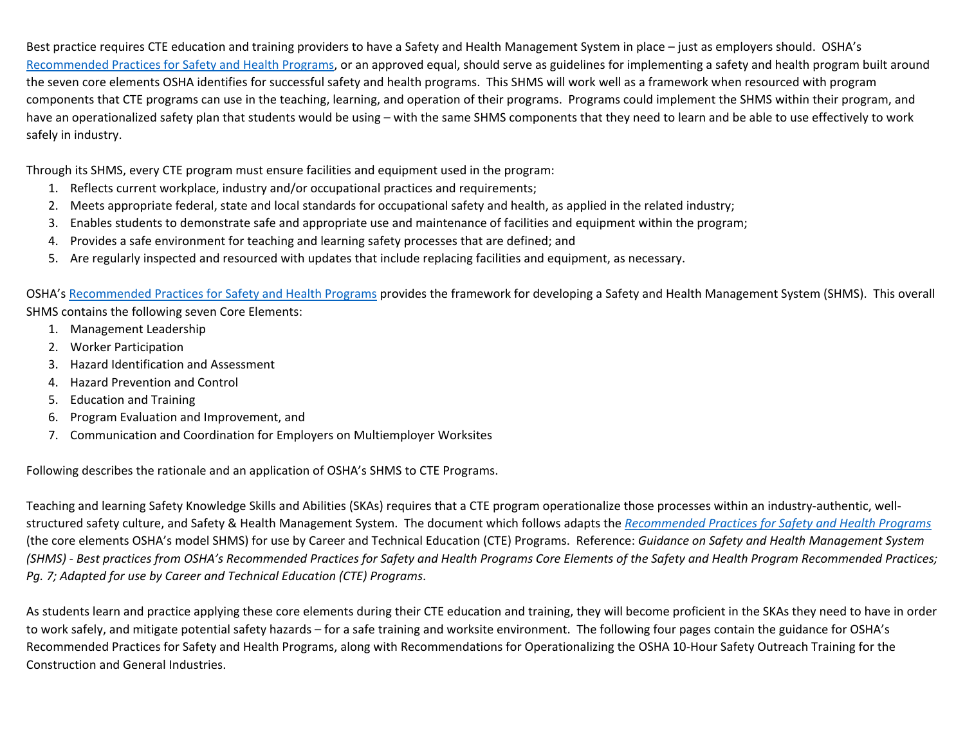Best practice requires CTE education and training providers to have a Safety and Health Management System in place – just as employers should. OSHA's Recommended Practices for Safety and Health Programs, or an approved equal, should serve as guidelines for implementing a safety and health program built around the seven core elements OSHA identifies for successful safety and health programs. This SHMS will work well as a framework when resourced with program components that CTE programs can use in the teaching, learning, and operation of their programs. Programs could implement the SHMS within their program, and have an operationalized safety plan that students would be using – with the same SHMS components that they need to learn and be able to use effectively to work safely in industry.

Through its SHMS, every CTE program must ensure facilities and equipment used in the program:

- 1. Reflects current workplace, industry and/or occupational practices and requirements;
- 2. Meets appropriate federal, state and local standards for occupational safety and health, as applied in the related industry;
- 3. Enables students to demonstrate safe and appropriate use and maintenance of facilities and equipment within the program;
- 4. Provides a safe environment for teaching and learning safety processes that are defined; and
- 5. Are regularly inspected and resourced with updates that include replacing facilities and equipment, as necessary.

OSHA's Recommended Practices for Safety and Health Programs provides the framework for developing a Safety and Health Management System (SHMS). This overall SHMS contains the following seven Core Elements:

- 1. Management Leadership
- 2. Worker Participation
- 3. Hazard Identification and Assessment
- 4. Hazard Prevention and Control
- 5. Education and Training
- 6. Program Evaluation and Improvement, and
- 7. Communication and Coordination for Employers on Multiemployer Worksites

Following describes the rationale and an application of OSHA's SHMS to CTE Programs.

Teaching and learning Safety Knowledge Skills and Abilities (SKAs) requires that a CTE program operationalize those processes within an industry-authentic, wellstructured safety culture, and Safety & Health Management System. The document which follows adapts the *Recommended Practices for Safety and Health Programs* (the core elements OSHA's model SHMS) for use by Career and Technical Education (CTE) Programs. Reference: *Guidance on Safety and Health Management System (SHMS) - Best practices from OSHA's Recommended Practices for Safety and Health Programs Core Elements of the Safety and Health Program Recommended Practices; Pg. 7; Adapted for use by Career and Technical Education (CTE) Programs*.

As students learn and practice applying these core elements during their CTE education and training, they will become proficient in the SKAs they need to have in order to work safely, and mitigate potential safety hazards – for a safe training and worksite environment. The following four pages contain the guidance for OSHA's Recommended Practices for Safety and Health Programs, along with Recommendations for Operationalizing the OSHA 10-Hour Safety Outreach Training for the Construction and General Industries.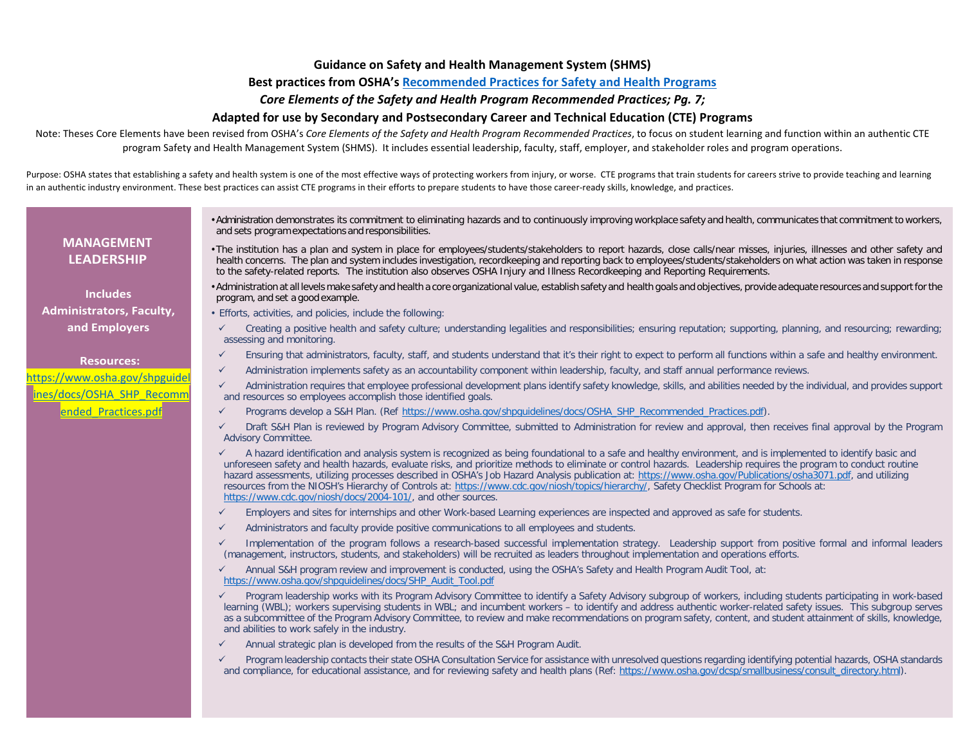### **Guidance on Safety and Health Management System (SHMS)**

### **Best practices from OSHA's [Recommended Practices for Safety and Health Programs](https://www.osha.gov/shpguidelines/docs/OSHA_SHP_Recommended_Practices.pdf)**

### *Core Elements of the Safety and Health Program Recommended Practices; Pg. 7;*

### **Adapted for use by Secondary and Postsecondary Career and Technical Education (CTE) Programs**

Note: Theses Core Elements have been revised from OSHA's *Core Elements of the Safety and Health Program Recommended Practices*, to focus on student learning and function within an authentic CTE program Safety and Health Management System (SHMS). It includes essential leadership, faculty, staff, employer, and stakeholder roles and program operations.

Purpose: OSHA states that establishing a safety and health system is one of the most effective ways of protecting workers from injury, or worse. CTE programs that train students for careers strive to provide teaching and l in an authentic industry environment. These best practices can assist CTE programs in their efforts to prepare students to have those career-ready skills, knowledge, and practices.

## **MANAGEMENT LEADERSHIP**

**Includes Administrators, Faculty, and Employers**

#### **Resources:**

ttps://www.osha.gov/shpguide [ines/docs/OSHA\\_SHP\\_Recomm](https://www.osha.gov/shpguidelines/docs/OSHA_SHP_Recommended_Practices.pdf) ended Practices.pdf

- •Administration demonstrates its commitment to eliminating hazards and to continuously improving workplace safety and health, communicates that commitment to workers, and sets program expectations and responsibilities.
- •The institution has a plan and system in place for employees/students/stakeholders to report hazards, close calls/near misses, injuries, illnesses and other safety and health concerns. The plan and system includes investigation, recordkeeping and reporting back to employees/students/stakeholders on what action was taken in response to the safety-related reports. The institution also observes OSHA Injury and Illness Recordkeeping and Reporting Requirements.
- •Administration at all levels make safety and health a core organizational value, establish safety and health goals and objectives, provide adequate resources and support for the program, and set a good example.
- Efforts, activities, and policies, include the following:
- $\checkmark$  Creating a positive health and safety culture; understanding legalities and responsibilities; ensuring reputation; supporting, planning, and resourcing; rewarding; assessing and monitoring.
- Ensuring that administrators, faculty, staff, and students understand that it's their right to expect to perform all functions within a safe and healthy environment.
- $\checkmark$  Administration implements safety as an accountability component within leadership, faculty, and staff annual performance reviews.

 $\checkmark$  Administration requires that employee professional development plans identify safety knowledge, skills, and abilities needed by the individual, and provides support and resources so employees accomplish those identified goals.

- Programs develop a S&H Plan. (Ref [https://www.osha.gov/shpguidelines/docs/OSHA\\_SHP\\_Recommended\\_Practices.pdf\)](https://www.osha.gov/shpguidelines/docs/OSHA_SHP_Recommended_Practices.pdf).
- Draft S&H Plan is reviewed by Program Advisory Committee, submitted to Administration for review and approval, then receives final approval by the Program Advisory Committee.
- $\checkmark$  A hazard identification and analysis system is recognized as being foundational to a safe and healthy environment, and is implemented to identify basic and unforeseen safety and health hazards, evaluate risks, and prioritize methods to eliminate or control hazards. Leadership requires the program to conduct routine hazard assessments, utilizing processes described in OSHA's Job Hazard Analysis publication at: [https://www.osha.gov/Publications/osha3071.pdf,](https://www.osha.gov/Publications/osha3071.pdf) and utilizing resources from the NIOSH's Hierarchy of Controls at: [https://www.cdc.gov/niosh/topics/hierarchy/,](https://www.cdc.gov/niosh/topics/hierarchy/) Safety Checklist Program for Schools at: [https://www.cdc.gov/niosh/docs/2004-101/,](https://www.cdc.gov/niosh/docs/2004-101/) and other sources.
- $\checkmark$  Employers and sites for internships and other Work-based Learning experiences are inspected and approved as safe for students.
- $\checkmark$  Administrators and faculty provide positive communications to all employees and students.
- $\checkmark$  Implementation of the program follows a research-based successful implementation strategy. Leadership support from positive formal and informal leaders (management, instructors, students, and stakeholders) will be recruited as leaders throughout implementation and operations efforts.
- Annual S&H program review and improvement is conducted, using the OSHA's Safety and Health Program Audit Tool, at: [https://www.osha.gov/shpguidelines/docs/SHP\\_Audit\\_Tool.pdf](https://www.osha.gov/shpguidelines/docs/SHP_Audit_Tool.pdf)
- $\checkmark$  Program leadership works with its Program Advisory Committee to identify a Safety Advisory subgroup of workers, including students participating in work-based learning (WBL); workers supervising students in WBL; and incumbent workers – to identify and address authentic worker-related safety issues. This subgroup serves as a subcommittee of the Program Advisory Committee, to review and make recommendations on program safety, content, and student attainment of skills, knowledge, and abilities to work safely in the industry.
- $\checkmark$  Annual strategic plan is developed from the results of the S&H Program Audit.
- Program leadership contacts their state OSHA Consultation Service for assistance with unresolved questions regarding identifying potential hazards, OSHA standards and compliance, for educational assistance, and for reviewing safety and health plans (Ref: https://www.osha.gov/dcsp/smallbusiness/consult\_directory.html).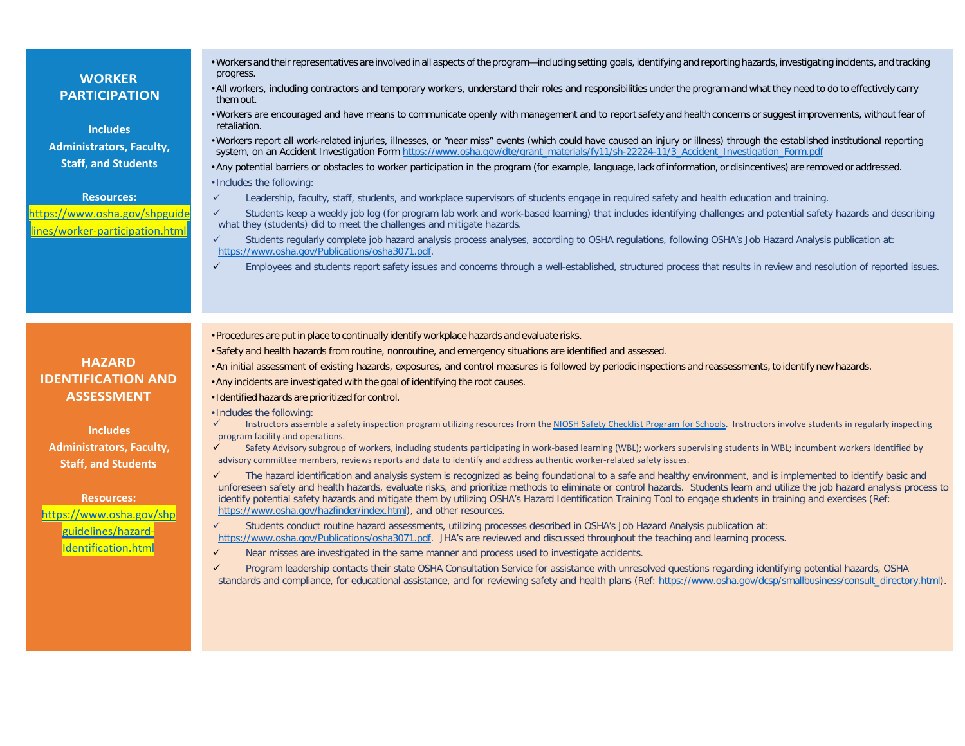| <b>WORKER</b><br><b>PARTICIPATION</b><br><b>Includes</b><br><b>Administrators, Faculty,</b><br><b>Staff, and Students</b><br><b>Resources:</b><br>https://www.osha.gov/shpguide | . Workers and their representatives are involved in all aspects of the program—including setting goals, identifying and reporting hazards, investigating incidents, and tracking<br>progress.<br>. All workers, including contractors and temporary workers, understand their roles and responsibilities under the program and what they need to do to effectively carry<br>them out.<br>• Workers are encouraged and have means to communicate openly with management and to report safety and health concerns or suggest improvements, without fear of<br>retaliation.<br>. Workers report all work-related injuries, illnesses, or "near miss" events (which could have caused an injury or illness) through the established institutional reporting<br>system, on an Accident Investigation Form https://www.osha.gov/dte/grant_materials/fy11/sh-22224-11/3_Accident_Investigation_Form.pdf<br>• Any potential barriers or obstacles to worker participation in the program (for example, language, lack of information, or disincentives) are removed or addressed.<br>. Includes the following:<br>$\checkmark$<br>Leadership, faculty, staff, students, and workplace supervisors of students engage in required safety and health education and training.<br>Students keep a weekly job log (for program lab work and work-based learning) that includes identifying challenges and potential safety hazards and describing<br>$\checkmark$ |
|---------------------------------------------------------------------------------------------------------------------------------------------------------------------------------|------------------------------------------------------------------------------------------------------------------------------------------------------------------------------------------------------------------------------------------------------------------------------------------------------------------------------------------------------------------------------------------------------------------------------------------------------------------------------------------------------------------------------------------------------------------------------------------------------------------------------------------------------------------------------------------------------------------------------------------------------------------------------------------------------------------------------------------------------------------------------------------------------------------------------------------------------------------------------------------------------------------------------------------------------------------------------------------------------------------------------------------------------------------------------------------------------------------------------------------------------------------------------------------------------------------------------------------------------------------------------------------------------------------------------------------------------|
| lines/worker-participation.html                                                                                                                                                 | what they (students) did to meet the challenges and mitigate hazards.                                                                                                                                                                                                                                                                                                                                                                                                                                                                                                                                                                                                                                                                                                                                                                                                                                                                                                                                                                                                                                                                                                                                                                                                                                                                                                                                                                                |
|                                                                                                                                                                                 | $\checkmark$<br>Students regularly complete job hazard analysis process analyses, according to OSHA regulations, following OSHA's Job Hazard Analysis publication at:<br>https://www.osha.gov/Publications/osha3071.pdf.                                                                                                                                                                                                                                                                                                                                                                                                                                                                                                                                                                                                                                                                                                                                                                                                                                                                                                                                                                                                                                                                                                                                                                                                                             |
|                                                                                                                                                                                 | $\checkmark$<br>Employees and students report safety issues and concerns through a well-established, structured process that results in review and resolution of reported issues.                                                                                                                                                                                                                                                                                                                                                                                                                                                                                                                                                                                                                                                                                                                                                                                                                                                                                                                                                                                                                                                                                                                                                                                                                                                                    |
|                                                                                                                                                                                 | • Procedures are put in place to continually identify workplace hazards and evaluate risks.<br>· Safety and health hazards from routine, nonroutine, and emergency situations are identified and assessed.                                                                                                                                                                                                                                                                                                                                                                                                                                                                                                                                                                                                                                                                                                                                                                                                                                                                                                                                                                                                                                                                                                                                                                                                                                           |
| <b>HAZARD</b>                                                                                                                                                                   |                                                                                                                                                                                                                                                                                                                                                                                                                                                                                                                                                                                                                                                                                                                                                                                                                                                                                                                                                                                                                                                                                                                                                                                                                                                                                                                                                                                                                                                      |
| <b>IDENTIFICATION AND</b>                                                                                                                                                       | . An initial assessment of existing hazards, exposures, and control measures is followed by periodic inspections and reassessments, to identify new hazards.                                                                                                                                                                                                                                                                                                                                                                                                                                                                                                                                                                                                                                                                                                                                                                                                                                                                                                                                                                                                                                                                                                                                                                                                                                                                                         |
|                                                                                                                                                                                 | • Any incidents are investigated with the goal of identifying the root causes.                                                                                                                                                                                                                                                                                                                                                                                                                                                                                                                                                                                                                                                                                                                                                                                                                                                                                                                                                                                                                                                                                                                                                                                                                                                                                                                                                                       |
| <b>ASSESSMENT</b>                                                                                                                                                               | . Identified hazards are prioritized for control.                                                                                                                                                                                                                                                                                                                                                                                                                                                                                                                                                                                                                                                                                                                                                                                                                                                                                                                                                                                                                                                                                                                                                                                                                                                                                                                                                                                                    |
| <b>Includes</b><br><b>Administrators, Faculty,</b>                                                                                                                              | . Includes the following:<br>Instructors assemble a safety inspection program utilizing resources from the NIOSH Safety Checklist Program for Schools. Instructors involve students in regularly inspecting<br>$\checkmark$<br>program facility and operations.<br>$\checkmark$<br>Safety Advisory subgroup of workers, including students participating in work-based learning (WBL); workers supervising students in WBL; incumbent workers identified by<br>advisory committee members, reviews reports and data to identify and address authentic worker-related safety issues.                                                                                                                                                                                                                                                                                                                                                                                                                                                                                                                                                                                                                                                                                                                                                                                                                                                                  |
| <b>Staff, and Students</b>                                                                                                                                                      | $\checkmark$                                                                                                                                                                                                                                                                                                                                                                                                                                                                                                                                                                                                                                                                                                                                                                                                                                                                                                                                                                                                                                                                                                                                                                                                                                                                                                                                                                                                                                         |
| <b>Resources:</b><br>https://www.osha.gov/shp                                                                                                                                   | The hazard identification and analysis system is recognized as being foundational to a safe and healthy environment, and is implemented to identify basic and<br>unforeseen safety and health hazards, evaluate risks, and prioritize methods to eliminate or control hazards. Students learn and utilize the job hazard analysis process to<br>identify potential safety hazards and mitigate them by utilizing OSHA's Hazard Identification Training Tool to engage students in training and exercises (Ref:<br>https://www.osha.gov/hazfinder/index.html), and other resources.<br>Students conduct routine hazard assessments, utilizing processes described in OSHA's Job Hazard Analysis publication at:<br>$\checkmark$                                                                                                                                                                                                                                                                                                                                                                                                                                                                                                                                                                                                                                                                                                                       |
| guidelines/hazard-                                                                                                                                                              | https://www.osha.gov/Publications/osha3071.pdf. JHA's are reviewed and discussed throughout the teaching and learning process.                                                                                                                                                                                                                                                                                                                                                                                                                                                                                                                                                                                                                                                                                                                                                                                                                                                                                                                                                                                                                                                                                                                                                                                                                                                                                                                       |
| Identification.html                                                                                                                                                             | $\checkmark$<br>Near misses are investigated in the same manner and process used to investigate accidents.                                                                                                                                                                                                                                                                                                                                                                                                                                                                                                                                                                                                                                                                                                                                                                                                                                                                                                                                                                                                                                                                                                                                                                                                                                                                                                                                           |
|                                                                                                                                                                                 | $\checkmark$<br>Program leadership contacts their state OSHA Consultation Service for assistance with unresolved questions regarding identifying potential hazards, OSHA<br>standards and compliance, for educational assistance, and for reviewing safety and health plans (Ref: https://www.osha.gov/dcsp/smallbusiness/consult directory.html).                                                                                                                                                                                                                                                                                                                                                                                                                                                                                                                                                                                                                                                                                                                                                                                                                                                                                                                                                                                                                                                                                                   |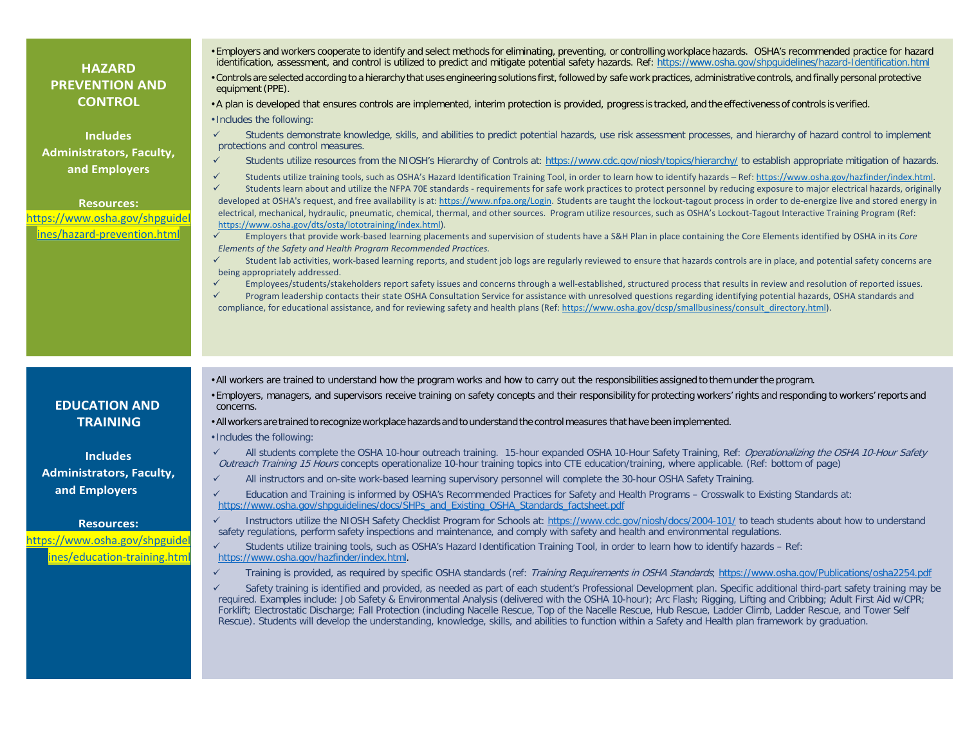| • Employers and workers cooperate to identify and select methods for eliminating, preventing, or controlling workplace hazards. OSHA's recommended practice for hazard<br>identification, assessment, and control is utilized to predict and mitigate potential safety hazards. Ref: https://www.osha.gov/shpquidelines/hazard-Identification.html<br><b>HAZARD</b><br>• Controls are selected according to a hierarchy that uses engineering solutions first, followed by safe work practices, administrative controls, and finally personal protective<br><b>PREVENTION AND</b><br>equipment (PPE).<br><b>CONTROL</b><br>• A plan is developed that ensures controls are implemented, interim protection is provided, progress is tracked, and the effectiveness of controls is verified.<br>· Includes the following:<br>$\checkmark$<br>Students demonstrate knowledge, skills, and abilities to predict potential hazards, use risk assessment processes, and hierarchy of hazard control to implement<br><b>Includes</b><br>protections and control measures.<br><b>Administrators, Faculty,</b><br>$\checkmark$<br>Students utilize resources from the NIOSH's Hierarchy of Controls at: https://www.cdc.gov/niosh/topics/hierarchy/ to establish appropriate mitigation of hazards.<br>and Employers<br>✓<br>Students utilize training tools, such as OSHA's Hazard Identification Training Tool, in order to learn how to identify hazards - Ref: https://www.osha.gov/hazfinder/index.html.<br>$\checkmark$<br>Students learn about and utilize the NFPA 70E standards - requirements for safe work practices to protect personnel by reducing exposure to major electrical hazards, originally<br>developed at OSHA's request, and free availability is at: https://www.nfpa.org/Login. Students are taught the lockout-tagout process in order to de-energize live and stored energy in<br><b>Resources:</b><br>electrical, mechanical, hydraulic, pneumatic, chemical, thermal, and other sources. Program utilize resources, such as OSHA's Lockout-Tagout Interactive Training Program (Ref:<br>ttps://www.osha.gov/shpguidel<br>https://www.osha.gov/dts/osta/lototraining/index.html).<br>ines/hazard-prevention.html<br>$\checkmark$<br>Employers that provide work-based learning placements and supervision of students have a S&H Plan in place containing the Core Elements identified by OSHA in its Core<br>Elements of the Safety and Health Program Recommended Practices.<br>$\checkmark$<br>Student lab activities, work-based learning reports, and student job logs are regularly reviewed to ensure that hazards controls are in place, and potential safety concerns are<br>being appropriately addressed.<br>$\checkmark$<br>Employees/students/stakeholders report safety issues and concerns through a well-established, structured process that results in review and resolution of reported issues.<br>Program leadership contacts their state OSHA Consultation Service for assistance with unresolved questions regarding identifying potential hazards, OSHA standards and<br>$\checkmark$<br>compliance, for educational assistance, and for reviewing safety and health plans (Ref: https://www.osha.gov/dcsp/smallbusiness/consult directory.html).<br>• All workers are trained to understand how the program works and how to carry out the responsibilities assigned to them under the program.<br>• Employers, managers, and supervisors receive training on safety concepts and their responsibility for protecting workers' rights and responding to workers' reports and<br><b>EDUCATION AND</b><br>concerns.<br><b>TRAINING</b><br>• All workers are trained to recognize workplace hazards and to understand the control measures that have been implemented.<br>. Includes the following:<br>All students complete the OSHA 10-hour outreach training. 15-hour expanded OSHA 10-Hour Safety Training, Ref: Operationalizing the OSHA 10-Hour Safety<br>✓<br><b>Includes</b><br>Outreach Training 15 Hours concepts operationalize 10-hour training topics into CTE education/training, where applicable. (Ref: bottom of page)<br><b>Administrators, Faculty,</b><br>$\checkmark$<br>All instructors and on-site work-based learning supervisory personnel will complete the 30-hour OSHA Safety Training.<br>and Employers<br>$\checkmark$<br>Education and Training is informed by OSHA's Recommended Practices for Safety and Health Programs – Crosswalk to Existing Standards at:<br>https://www.osha.gov/shpguidelines/docs/SHPs and Existing OSHA Standards factsheet.pdf<br>$\checkmark$<br>Instructors utilize the NIOSH Safety Checklist Program for Schools at: https://www.cdc.gov/niosh/docs/2004-101/ to teach students about how to understand<br><b>Resources:</b><br>safety regulations, perform safety inspections and maintenance, and comply with safety and health and environmental regulations.<br>https://www.osha.gov/shpguidel<br>$\checkmark$<br>Students utilize training tools, such as OSHA's Hazard Identification Training Tool, in order to learn how to identify hazards - Ref:<br>ines/education-training.htm<br>https://www.osha.gov/hazfinder/index.html.<br>$\checkmark$<br>Training is provided, as required by specific OSHA standards (ref: Training Requirements in OSHA Standards; https://www.osha.gov/Publications/osha2254.pdf<br>Safety training is identified and provided, as needed as part of each student's Professional Development plan. Specific additional third-part safety training may be<br>✓<br>required. Examples include: Job Safety & Environmental Analysis (delivered with the OSHA 10-hour); Arc Flash; Rigging, Lifting and Cribbing; Adult First Aid w/CPR;<br>Forklift; Electrostatic Discharge; Fall Protection (including Nacelle Rescue, Top of the Nacelle Rescue, Hub Rescue, Ladder Climb, Ladder Rescue, and Tower Self |  |
|-----------------------------------------------------------------------------------------------------------------------------------------------------------------------------------------------------------------------------------------------------------------------------------------------------------------------------------------------------------------------------------------------------------------------------------------------------------------------------------------------------------------------------------------------------------------------------------------------------------------------------------------------------------------------------------------------------------------------------------------------------------------------------------------------------------------------------------------------------------------------------------------------------------------------------------------------------------------------------------------------------------------------------------------------------------------------------------------------------------------------------------------------------------------------------------------------------------------------------------------------------------------------------------------------------------------------------------------------------------------------------------------------------------------------------------------------------------------------------------------------------------------------------------------------------------------------------------------------------------------------------------------------------------------------------------------------------------------------------------------------------------------------------------------------------------------------------------------------------------------------------------------------------------------------------------------------------------------------------------------------------------------------------------------------------------------------------------------------------------------------------------------------------------------------------------------------------------------------------------------------------------------------------------------------------------------------------------------------------------------------------------------------------------------------------------------------------------------------------------------------------------------------------------------------------------------------------------------------------------------------------------------------------------------------------------------------------------------------------------------------------------------------------------------------------------------------------------------------------------------------------------------------------------------------------------------------------------------------------------------------------------------------------------------------------------------------------------------------------------------------------------------------------------------------------------------------------------------------------------------------------------------------------------------------------------------------------------------------------------------------------------------------------------------------------------------------------------------------------------------------------------------------------------------------------------------------------------------------------------------------------------------------------------------------------------------------------------------------------------------------------------------------------------------------------------------------------------------------------------------------------------------------------------------------------------------------------------------------------------------------------------------------------------------------------------------------------------------------------------------------------------------------------------------------------------------------------------------------------------------------------------------------------------------------------------------------------------------------------------------------------------------------------------------------------------------------------------------------------------------------------------------------------------------------------------------------------------------------------------------------------------------------------------------------------------------------------------------------------------------------------------------------------------------------------------------------------------------------------------------------------------------------------------------------------------------------------------------------------------------------------------------------------------------------------------------------------------------------------------------------------------------------------------------------------------------------------------------------------------------------------------------------------------------------------------------------------------------------------------------------------------------------------------------------------------------------------------------------------------------------------------------------------------------------------------------------------------------------------------------------------------------------------------------------------------------------------------------------------------------------------------------------------------------------------------------------------------------------------------------------------------------------------------------------------------------------------------|--|
|                                                                                                                                                                                                                                                                                                                                                                                                                                                                                                                                                                                                                                                                                                                                                                                                                                                                                                                                                                                                                                                                                                                                                                                                                                                                                                                                                                                                                                                                                                                                                                                                                                                                                                                                                                                                                                                                                                                                                                                                                                                                                                                                                                                                                                                                                                                                                                                                                                                                                                                                                                                                                                                                                                                                                                                                                                                                                                                                                                                                                                                                                                                                                                                                                                                                                                                                                                                                                                                                                                                                                                                                                                                                                                                                                                                                                                                                                                                                                                                                                                                                                                                                                                                                                                                                                                                                                                                                                                                                                                                                                                                                                                                                                                                                                                                                                                                                                                                                                                                                                                                                                                                                                                                                                                                                                                                                                                                                                                                                                                                                                                                                                                                                                                                                                                                                                                                                                                                                                           |  |
|                                                                                                                                                                                                                                                                                                                                                                                                                                                                                                                                                                                                                                                                                                                                                                                                                                                                                                                                                                                                                                                                                                                                                                                                                                                                                                                                                                                                                                                                                                                                                                                                                                                                                                                                                                                                                                                                                                                                                                                                                                                                                                                                                                                                                                                                                                                                                                                                                                                                                                                                                                                                                                                                                                                                                                                                                                                                                                                                                                                                                                                                                                                                                                                                                                                                                                                                                                                                                                                                                                                                                                                                                                                                                                                                                                                                                                                                                                                                                                                                                                                                                                                                                                                                                                                                                                                                                                                                                                                                                                                                                                                                                                                                                                                                                                                                                                                                                                                                                                                                                                                                                                                                                                                                                                                                                                                                                                                                                                                                                                                                                                                                                                                                                                                                                                                                                                                                                                                                                           |  |
| Rescue). Students will develop the understanding, knowledge, skills, and abilities to function within a Safety and Health plan framework by graduation.                                                                                                                                                                                                                                                                                                                                                                                                                                                                                                                                                                                                                                                                                                                                                                                                                                                                                                                                                                                                                                                                                                                                                                                                                                                                                                                                                                                                                                                                                                                                                                                                                                                                                                                                                                                                                                                                                                                                                                                                                                                                                                                                                                                                                                                                                                                                                                                                                                                                                                                                                                                                                                                                                                                                                                                                                                                                                                                                                                                                                                                                                                                                                                                                                                                                                                                                                                                                                                                                                                                                                                                                                                                                                                                                                                                                                                                                                                                                                                                                                                                                                                                                                                                                                                                                                                                                                                                                                                                                                                                                                                                                                                                                                                                                                                                                                                                                                                                                                                                                                                                                                                                                                                                                                                                                                                                                                                                                                                                                                                                                                                                                                                                                                                                                                                                                   |  |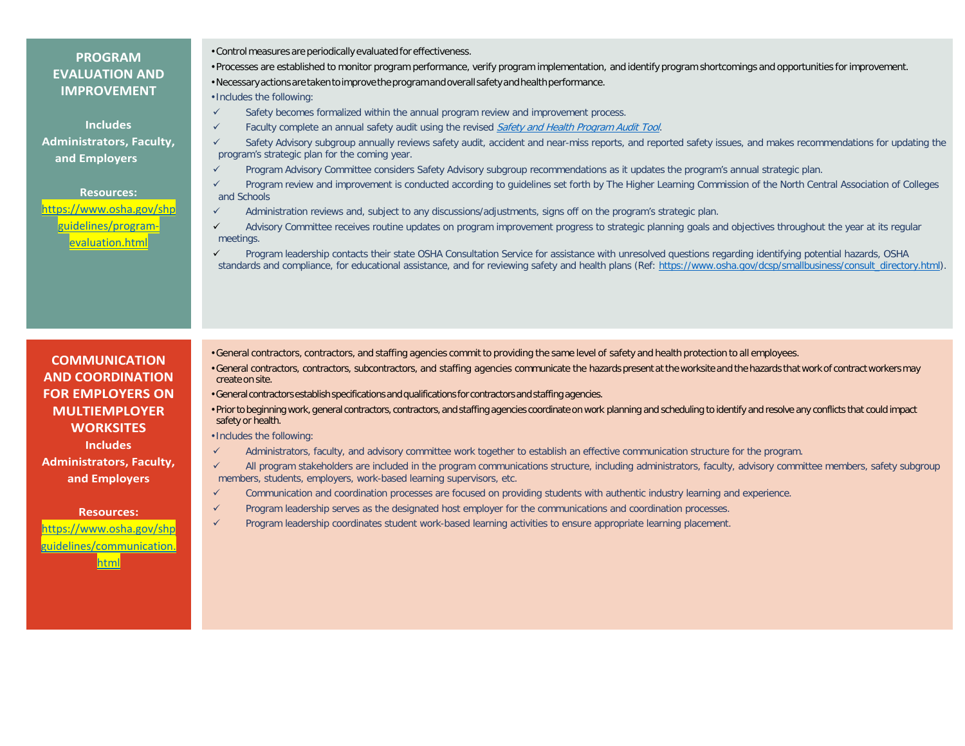## **PROGRAM EVALUATION AND IMPROVEMENT**

**Includes Administrators, Faculty, and Employers**

**Resources:** [https://www.osha.gov/shp](https://www.osha.gov/shpguidelines/program-evaluation.html) [guidelines/program](https://www.osha.gov/shpguidelines/program-evaluation.html)[evaluation.html](https://www.osha.gov/shpguidelines/program-evaluation.html)

- •Control measures are periodically evaluated for effectiveness.
- Processes are established to monitor program performance, verify program implementation, and identify program shortcomings and opportunities for improvement.

•Necessaryactionsaretakentoimprovetheprogramandoverall safetyandhealthperformance.

- Includes the following:
- $\checkmark$  Safety becomes formalized within the annual program review and improvement process.
- $\checkmark$  Faculty complete an annual safety audit using the revised [Safety and Health Program Audit Tool](https://www.osha.gov/shpguidelines/docs/SHP_Audit_Tool.pdf).
- Safety Advisory subgroup annually reviews safety audit, accident and near-miss reports, and reported safety issues, and makes recommendations for updating the program's strategic plan for the coming year.
- Program Advisory Committee considers Safety Advisory subgroup recommendations as it updates the program's annual strategic plan.
- Program review and improvement is conducted according to guidelines set forth by The Higher Learning Commission of the North Central Association of Colleges and Schools
- Administration reviews and, subject to any discussions/adjustments, signs off on the program's strategic plan.
- $\checkmark$  Advisory Committee receives routine updates on program improvement progress to strategic planning goals and objectives throughout the year at its regular meetings.
- Program leadership contacts their state OSHA Consultation Service for assistance with unresolved questions regarding identifying potential hazards, OSHA standards and compliance, for educational assistance, and for reviewing safety and health plans (Ref: https://www.osha.gov/dcsp/smallbusiness/consult\_directory.html).

**COMMUNICATION AND COORDINATION FOR EMPLOYERS ON MULTIEMPLOYER WORKSITES Includes Administrators, Faculty,**

**and Employers**

#### **Resources:**

[https://www.osha.gov/shp](https://www.osha.gov/shpguidelines/communication.html) [guidelines/communication.](https://www.osha.gov/shpguidelines/communication.html) [html](https://www.osha.gov/shpguidelines/communication.html)

- •General contractors, contractors, and staffing agencies commit to providing the same level of safety and health protection to all employees.
- •General contractors, contractors, subcontractors, and staffing agencies communicate the hazards present atthe worksite and the hazards that work of contractworkersmay create on site.
- General contractors establish specifications and qualifications for contractors and staffing agencies.
- Prior to beginning work, general contractors, contractors, and staffing agencies coordinate on work planning and scheduling to identify and resolve any conflicts that could impact safety or health.

• Includes the following:

- $\checkmark$  Administrators, faculty, and advisory committee work together to establish an effective communication structure for the program.
- $\checkmark$  All program stakeholders are included in the program communications structure, including administrators, faculty, advisory committee members, safety subgroup members, students, employers, work-based learning supervisors, etc.
- $\checkmark$  Communication and coordination processes are focused on providing students with authentic industry learning and experience.
- $\checkmark$  Program leadership serves as the designated host employer for the communications and coordination processes.
- $\checkmark$  Program leadership coordinates student work-based learning activities to ensure appropriate learning placement.